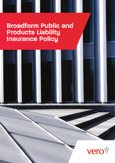# **Broadform Public and Products Liability Insurance Policy**

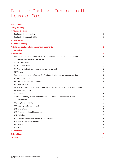## Broadform Public and Products Liability Insurance Policy

| <b>Introduction</b>                                                                 | 1  |
|-------------------------------------------------------------------------------------|----|
| <b>Policy wording</b>                                                               |    |
| 1. Insuring clauses                                                                 | 1  |
| Section A - Public liability                                                        | 1  |
| Section B - Products liability                                                      | 1  |
| 2. Extensions                                                                       | 1  |
| 3. Limits of liability                                                              | 2  |
| 4. Defence costs and supplementary payments                                         | 2  |
| 5. Deductible                                                                       | 3  |
| <b>6. Exclusions</b>                                                                | 3  |
| Exclusions applicable to Section A - Public liability and any extensions thereto    | 3  |
| 6.1 Aircraft, watercraft and hovercraft                                             | 3  |
| 6.2 Defective work                                                                  | 3  |
| 6.3 Products liability                                                              | 3  |
| 6.4 Property in the insured's care, custody or control                              | 3  |
| 6.5 Vehicles                                                                        | 4  |
| Exclusions applicable to Section B - Products liability and any extensions thereto  | 4  |
| 6.6 Aircraft products                                                               | 4  |
| 6.7 Product recall or replacement                                                   | 4  |
| 6.8 Public liability                                                                | 4  |
| General exclusions (applicable to both Sections A and B and any extensions thereto) | 4  |
| 6.9 Advertising injury                                                              | 5  |
| 6.10 Asbestos                                                                       | 5  |
| 6.11 Cyber, privacy breach and confidential or personal information breach          | 5  |
| 6.12 Defamation                                                                     | 6  |
| 6.13 Employers liability                                                            | 6  |
| 6.14 Liability under agreement                                                      | 6  |
| 6.15 Loss of use                                                                    | 6  |
| 6.16 Penalties and punitive damages                                                 | 6  |
| 6.17 Pollution                                                                      | 6  |
| 6.18 Professional liability and errors or omissions                                 |    |
| 6.19 Radioactive contamination                                                      |    |
| 6.20 Terrorism                                                                      |    |
| 6.21 War                                                                            |    |
| 7. Definitions                                                                      |    |
| 8. Conditions                                                                       | 11 |
| <b>Notices</b>                                                                      | 13 |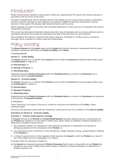## <span id="page-2-0"></span>Introduction

Please read the policy carefully to ensure that it meets your requirements. The insurer will provide insurance in accordance with the terms of this policy.

The policy, endorsements and the schedule shall be read together as one contract and any word or expression to which a specific meaning has been attached, and appears in **bold** font shall bear that specific meaning wherever it may appear. The singular shall include the plural and vice versa.

Where headings are used in this policy, they are purely descriptive in nature and are not intended to be used for interpretative purposes.

The named insured received important notices about their duty of disclosure and our privacy statement prior to purchasing this policy. The notices are replicated at the back of this document for your reference.

Also included in the notices is important information relating to 'Extension 2 – Product errors or omissions coverage' which is issued on a claims made and notified basis.

## Policu wordin

The **Named Insured** and the **Insurer** agree that the **Insurer** will provide insurance in accordance with the terms, conditions, exclusions, definitions and **Limits of Liability** of this **Policy**.

## 1. Insuring clauses

## Section A – Public liability

The **Insurer** will pay to or on behalf of the **Insured** all sums which the **Insured** shall become legally liable to pay as **Compensation** in respect of:

- (a) **Personal Injury,** or
- (b) **Damage to Property**, or

## (c) **Advertising Injury**

happening during the **Period of Insurance** within the **Territorial Limits** as a result of an **Occurrence** and in connection with the **Insured's Business**.

## Section B – Products liability

The **Insurer** will pay to or on behalf of the **Insured** all sums which the **Insured** shall become legally liable to pay as **Compensation** in respect of:

## (a) **Personal Injury,**

- (b) **Damage to Property,**
- (c) **Advertising Injury**

happening during the **Period of Insurance** within the **Territorial Limits** as a result of an **Occurrence** and caused by or arising from the **Insured's Products**.

## 2. Extensions

These 'Extensions' are subject to the terms, conditions, exclusions and definitions of the **Policy**, unless otherwise stated.

The total of all payments made under the 'Extensions' will be part of and not in addition to the **Limit of Liability**.

Extensions to Section B - Products Liability

## Extension 1 – Product recall expense coverage

The **Insurer** will pay to the **Insured** any **Product Recall Expense** necessary because the use or consumption of any **Product** has resulted in or may result in bodily injury, death, illness or disability or physical damage to or destruction of tangible property due to:

- 1. the accidental omission of a substance or the accidental introduction or substitution of a harmful or damaging substance in the manufacture of the **Product**; or
- 2. any unintentional error or deficiency in the manufacture, design, blending, mixing, compounding or labelling of the **Product**; or
- 3. a ruling of a government or other regulatory body requiring the **Insured** to recall any **Product** as a result of any of the matters set out in paragraphs 1 or 2 above.

Coverage under this extension is subject to:

(a) the **Insured** first discovering during the **Period of Insurance** that the use or consumption of any **Product** has resulted or may result in bodily injury, death, illness or disability or physical damage to or destruction of tangible property; and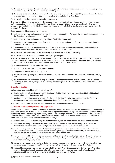- <span id="page-3-0"></span>(b) the bodily injury, death, illness or disability or physical damage to or destruction of tangible property being indemnifiable under 'Section B – Products liability'; and
- (c) the **Insurer's** maximum liability in respect of this extension for all **Product Recall Expenses** during the **Period of Insurance** not exceeding \$1,000,000, or as otherwise stated in the **Schedule**.

## Extension 2 – Product errors or omissions coverage

The **Insurer** will pay to or on behalf of the **Insured** all sums which the **Insured** becomes legally liable to pay as **Compensation** in respect of financial loss solely and directly attributable to any negligent act, error or omission committed or alleged to have been committed by or on behalf of the **Insured** in connection with the **Insured's Products**.

Coverage under this extension is subject to:

- 1. such act, error or omission occurring after the inception date of this **Policy** or the retroactive date specified in the **Schedule**, whichever the earlier; and
- 2. such act, error or omission occurring within the **Territorial Limits**; and
- 3. a demand for **Compensation** being first made against the **Insured** and notified to the Insurer during the **Period of Insurance**; and
- 4. The **Insurer's** maximum liability in respect of this extension for all claims payable during the **Period of Insurance** not exceeding \$500,000, or as otherwise stated in the **Schedule**.

## Extensions to both Section A - Public liability and Section B – Products liability

## Extension 3 – New Zealand punitive or exemplary damages

The **Insurer** will pay to or on behalf of the **Insured** all sums which the **Insured** becomes legally liable to pay in respect of punitive or exemplary damages awarded by a court in New Zealand for **Personal Injury** happening during the **Period of Insurance** in New Zealand as a result of an **Occurrence** and

- (a) in connection with the **Insured's Business;** or
- (b) caused by or arising from the **Insured's Products**.

Coverage under this extension is subject to:

- (a) the **Personal Injury** being indemnifiable under 'Section A Public liability' or 'Section B Products liability'; and
- (b) the **Insurer's** maximum liability during the **Period of Insurance** in respect of this extension for all claims resulting in legal liability for punitive or exemplary damages is NZD1,000,000 or as otherwise stated in the **Schedule**.

## 3. Limits of liability

Unless otherwise stated in the **Policy**, the **Insurer's**:

- 1. liability to indemnify the **Insured** Under Section A Public liability will not exceed the **Limit of Liability** in respect of any one **Occurrence**; and
- 2. maximum liability in respect of 'Section B Products liability' for all **Occurrences** during the **Period of Insurance** will not exceed the **Limit of Liability** Under Section A – Public liability.

The applicable **Limit of Liability** is over and above the **Deductible** payable by the **Insured**.

## 4. Defence costs and supplementary payments

With respect to claims for which indemnity is available under this **Policy**, the **Insurer** will defend, in the **Insured's**  name and on the **Insured's** behalf, any claim or suit against the **Insured** alleging such **Personal Injury** or **Damage to Property** and/or **Advertising Injury** or any other loss or damage covered under 'Extension 2 – Product errors or omissions coverage' and seeking **Compensation** on account thereof even if any of the allegations of such claim or suit is groundless, false or fraudulent and pay:

4.1 all costs and expenses incurred by the **Insurer** and/or by the **Insured** with the **Insurer's** written consent;

- 4.2 all interest accruing on the **Insurer's** portion of any judgment until the **Insurer** has paid, tendered or deposited in court that part of such judgment which does not exceed the **Limit of Liability**;
- 4.3 premium on appeal bonds or security for costs required in any suit, and premium on bonds to release attachments in any suit, for an amount not exceeding the applicable **Limit of Liability**, but the **Insurer** shall have no obligation to apply for or furnish any such bond or security;
- 4.4 expenses incurred by the **Insured** for rendering of first aid or other medical service to others at the time of any **Personal Injury** (other than the payment of any medical expense by the **Insurer** which the **Insurer** is prevented from paying by law);
- 4.5 temporary protection of property, including temporary repairs or protection of property of others that has been damaged as a result of an **Occurrence** which is the subject of indemnity under this **Policy**;
- 4.6 reasonable expenses incurred by the **Insured** at the **Insurer's** written request or with the **Insurer's** written consent (including loss of wages or salary, but not loss of other income) as a result of the **Insured's** attendance at hearings or trials relating to a liability covered by this **Policy**.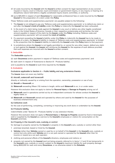- <span id="page-4-0"></span>4.7 all costs incurred by the **Insured** with the **Insurer's** written consent for legal representation at any coronial inquest or inquiry, court or tribunal, royal commission or government inquiry, or any inquiry or hearing of a disciplinary nature held before a legally constituted inquiry board, committee, or authority.
- 4.8 up to \$25,000 in respect of each **Occurrence** for reasonable professional fees or costs incurred by the **Named Insured** for the preparation of a claim under this **Policy**.

These 'Defence costs and supplementary payments' are payable subject to the following:

- 1. The **Insurer** is not obliged to pay any 'Defence costs and supplementary payments' or to defend any claim or suit after the **Insurer's Limit of Liability** under this **Policy** to indemnify the **Insured** has been exhausted;
- 2. In the event of a claim being made against the **Insured** in any court or before any other legally constituted body in the United States of America, Canada or their respective protectorates and territories, the total amount payable in respect of the claim by the **Insurer** under this **Policy** including 'Defence costs and supplementary payments' will not exceed the **Limit of Liability**;
- 3. If a payment exceeding the **Insurer's** liability under this **Policy** to indemnify the **Insured** has to be made to dispose of a claim, the **Insurer's** liability in respect of 'Defence costs and supplementary payments' is limited to the proportion that the **Insurer's** liability to indemnify the **Insured** under this **Policy** bears to that payment;
- 4. In jurisdictions where the **Insurer** is not legally permitted to, or cannot for any other reason, defend any claim or suit against the **Insured**, the **Insurer** will reimburse the **Insured** for the expense of such defence provided that such expenses are incurred with the **Insurer's** written consent.

## 5. Deductible

The **Deductible** applies to:

(a) each **Occurrence** and/or payment in respect of 'Defence costs and supplementary payments'; and

(b) each claim in respect of 'Extensions to Section B – Products liability',

and is payable by the **Insured** at such time required by the **Insurer**.

## 6. Exclusions

Exclusions applicable to Section A – Public liability and any extensions thereto

The **Insurer** does not cover any liability:

## 6.1 Aircraft, watercraft and hovercraft

directly or indirectly caused by or arising from the operation, ownership, possession or use of any:

- (a) **Aircraft** or **Hovercraft**; or
- (b) **Watercraft** exceeding fifteen (15) metres in length, while such **Watercraft** is on, in or under water.

However this exclusion does not apply to claims for **Personal Injury** or **Damage to Property** arising out of:

- (c) **Watercraft** used in operations carried out by an independent contractor for whose conduct the **Insured** is legally liable; or
- (d) **Watercraft** and **Hovercraft** owned and operated by others and used by the **Insured** for the purposes of business entertainment only.

## 6.2 Defective work

for the cost of performing, completing, correcting or improving any work done or undertaken by the **Insured**.

## 6.3 Products liability

indemnifiable under 'Section B – Products liability' or any extension thereto.

However this exclusion does not apply to **Personal Injury** or **Damage to Property** caused by food or beverages sold or supplied by the **Insured** as a service to the **Insured's** employees or visitors for consumption on the **Insured's** premises.

## 6.4 Property in the insured's care, custody or control

for damage to property owned by the **Insured** or property in the **Insured's** care, custody or control other than:

- 1. premises tenanted, leased or hired by the **Insured**;
- 2. **Vehicles** (other than **Vehicles** owned or used by or on behalf of the **Insured**) in the **Insured's** care, custody or control but only while such **Vehicles** are in a car park owned or operated by the **Insured** other than for income or reward as a car park operator;
- 3. clothing and personal effects of the **Insured's** directors, employees and visitors; or
- 4. property not owned by the **Insured** (and not being property referred to in items 1, 2 and 3) but temporarily in the **Insured's** care, custody or control, subject to the **Insurer's** maximum liability for such property damage being \$500,000 for each and every **Occurrence**, or as otherwise stated in the **Schedule**.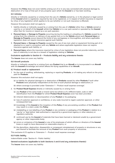<span id="page-5-0"></span>However this **Policy** does not cover liability arising out of or in any way connected with physical damage to, destruction of or loss of that part of any property upon which the **Insured** is or has been working.

## 6.5 Vehicles

directly or indirectly caused by or arising from the use of a **Vehicle** owned by, or in the physical or legal control of the **Insured** which is registered, required by law to be registered, or in respect of which insurance is required by virtue of any legislation which applies to its use (whether or not such insurance is effected).

However this exclusion shall not apply to:

- 1. liability directly or indirectly caused by or arising from the use of a **Vehicle** (other than a **Vehicle** owned or used by or on behalf of the **Insured**) whilst that **Vehicle** is in a car park owned or operated by the **Insured** other than for income or reward as a car park operator;
- 2. **Personal Injury** or **Damage to Property** occurring during the loading or unloading of a **Vehicle** caused by or arising from the collection or delivery of any goods from or to the **Vehicle** where such **Personal Injury** or **Damage to Property** occurs beyond the limits of any carriageway or thoroughfare, and where applicable legislation does not require insurance against such liability;
- 3. **Personal Injury** or **Damage to Property** caused by the use of any tool, plant or equipment forming part of or attached to or used in connection with any **Vehicle** and where applicable legislation does not require insurance against such liability; or
- 4. **Personal Injury** where the insurance required by virtue of any legislation does not provide indemnity, and the lack of indemnity is not due to a breach of legislation relating to **Vehicles**.

## Exclusions applicable to Section B – Products liability and any extensions thereto

The **Insurer** does not cover any liability:

#### 6.6 Aircraft products

directly or indirectly caused by or arising from any **Product** that is an **Aircraft** or is incorporated in an **Aircraft** with the **Insured's** knowledge and which affects the flying capabilities of an **Aircraft**.

#### 6.7 Product recall or replacement

1. for the cost of recalling, withdrawing, replacing or repairing **Products**, or of making any refund on the price paid for **Products**.

However this exclusion shall not apply:

- (a) to liability for physical damage to or destruction of **Products** caused by other **Products** if such other **Products** were physically independent at the time of such physical damage or destruction; or
- (b) where coverage is provided under 'Extension 1 Product recall expense coverage'.
- 2. for **Product Recall Expense** directly or indirectly caused by or arising from:
	- (a) any **Product** of the same trade or brand name but which is of a different batch, code or other identification from the **Product** for which **Product Recall Expense** cover has been provided;
	- (b) inherent deterioration or decomposition of any **Product** or its packaging;
	- (c) loss of customer approval or confidence, or any costs incurred to regain customer approval, or other consequential loss;
	- (d) knowledge of the **Insured** at the inception of this **Policy** of any pre-existing condition of the **Product** that may result in a claim under this **Policy**;
	- (e) mislabelling or non-labelling of any **Product** or any container or packaging of the **Product** in relation to a 'use by' or 'best before' date authorised or required by a government agency or other statutory or regulatory authority;
	- (f) continued use by the **Insured** of materials that have been banned or declared unsafe by a government agency or other responsible body;
	- (g) errors or omissions of the **Insured** or any of its employees of which officers or directors of the **Insured** knew or ought to have discovered on reasonable enquiry; or
	- (h) the demolition, destruction, disassembly or consequent reinstatement of property or structures or any part thereof to facilitate the removal of any **Product** from such property or structures.

This exclusion 6.7.2 applies to 'Extension 1 – Product recall expense coverage.'

## 6.8 Public liability

indemnifiable under 'Section A – Public liability'.

## General exclusions (applicable to both Sections A and B and any extensions thereto)

The **Insurer** does not cover any liability: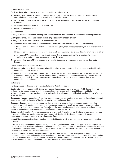## <span id="page-6-0"></span>6.9 Advertising injury

for **Advertising Injury** directly or indirectly caused by, or arising from:

- 1. failure of performance of contract, however this exclusion does not apply to claims for unauthorised appropriation of ideas based upon breach of an implied contract;
- 2. infringement of trade mark, service mark or trade name, however this exclusion shall not apply to titles or slogans;
- 3. incorrect description of any good or **Product**; or
- 4. mistake in advertised price.

## 6.10 Asbestos

directly or indirectly caused by, arising from or in connection with asbestos or materials containing asbestos.

6.11 Cyber, privacy breach and confidential or personal information breach:

directly or indirectly arising out of or in connection with:

- 1. any access to or disclosure of any **Private and Confidential Information** or **Personal Information**;
- 2. a) total or partial destruction, distortion, erasure, corruption, theft, misappropriation, misuse or alteration of **Data**;
	- (b) total or partial inability or failure to receive, send, access, manipulate or use **Data** for any time or at all; or
	- (c) any **Loss of Use**, reduction in functionality, restriction of access or inability to manipulate, repair, replacement, restoration or reproduction of any **Data**; or
- 3. any corruption, **Loss of Use** or misuse of or inability to access, process, use or operate any **Computer System**.

However, this exclusion does not apply to:

- (a) **Damage to Property**, **Bodily Injury** or **Advertising Injury** arising out of the circumstances described in subparagraphs 1, 2 or 3 above; or
- (b) mental anguish, mental injury, shock, fright or loss of consortium arising out of the circumstances described in sub-paragraph 3 above. For the avoidance of doubt, the exclusion continues to apply to mental anguish, mental injury, shock, fright or loss of consortium arising out of the circumstances described in subparagraphs 1 and 2 above.

## **Definitions**

For the purpose of this exclusion only, the following Definitions apply:

**Bodily Injury** means death, bodily injury, sickness or disease sustained by a person. Bodily Injury does not include mental impairment, mental injury, mental anguish, shock, fright, mental illness, humiliation, discrimination or any injury arising out of invasion of privacy, breach of confidentiality, defamation and/or loss of consortium.

**Damage to Property** means loss of, physical damage to or destruction of tangible property including the loss of use thereof resulting therefrom. Tangible property does not include **Data**.

**Computer System** means any computer, hardware, software, communications system, electronic device (including but not limited to smart phone, laptop, tablet, wearable device), server, cloud or microcontroller including any similar system or any configuration of the aforementioned and including any associated input, output or data storage device, networking equipment or back up facility.

**Data** means information, facts, concepts, code or any other information of any kind that is converted, recorded or transmitted in a form to be accessed, communicated, displayed, distributed, interpreted, processed, transmitted or stored or used in or by a **Computer System**.

**Loss of Use** means the inability to obtain the intended benefit which is not resulting from damage to tangible property.

**Private and Confidential Information** means any information (including **Data**) other than **Personal Information** that is not publicly available and where disclosure may affect the economic, competitive or commercial interests of the owner of the information including trade secrets, computer programs, customer information, patents, trademarks, copyrights or processing methods.

**Personal Information** means any information from which an individual may be reasonably identified or contacted, including an individual's name, telephone number, email address, tax file number, Medicare number, credit card details or any other non-public personal information as defined in the Privacy Act 1988 (Cth) or in any subsequent legislation that alters, repeals or replaces such legislation.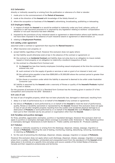## <span id="page-7-0"></span>6.12 Defamation

directly or indirectly caused by or arising from the publication or utterance of a libel or slander:

- 1. made prior to the commencement of the **Period of Insurance**;
- 2. made at the direction of the **Insured** with knowledge of the falsity thereof; or
- 3. where the occupation or business of the **Insured** is advertising, broadcasting, publishing or telecasting.

### 6.13 Employers liability

- 1. in respect of which the **Insured** is or would be entitled to indemnity under any fund, scheme, policy of insurance or self insurance pursuant to or required by any legislation relating to workers' compensation whether or not such insurance has been effected;
- 2. imposed by the provisions of any industrial award or agreement or determination where such liability would not have been imposed in the absence of such industrial award or agreement or determination; or

#### 3. relating to **Employment Practices**.

#### 6.14 Liability under agreement

assumed under a contract or agreement that requires the **Named Insured** to:

- 1. effect insurance over property; or
- 2. accept liability regardless of fault. However this exclusion does not apply where:
	- (a) that liability would otherwise exist at law in the absence of the contract or agreement; or
	- (b) the contract is an **Incidental Contract** and liability does not arise due to an obligation to insure rented, leased or hired property or an obligation to indemnify a landlord irrespective of fault.
	- (c) the contract is a Standard form Contract and:
		- (i) the **Insured** has less than twenty employees (including casual employees) at the time the contract was entered into; and
		- (ii) such contract is for the supply of goods or services or sale or grant of an interest in land; and
		- (iii) the upfront price payable is less than \$300,000 or \$1,000,000 where the contract period is greater than twelve months; and
		- (iv) the clause or provision under which the liability is assumed is deemed to be unfair under Australian Consumer Law.
	- (d) liability is assumed by the **Insured** under a warranty of fitness or quality of the **Insured's Products** implied by law or statute.

For the purpose of exclusion 6.14.2 (c) a Standard form Contract has the meaning given in section 27 of the Competition and Consumer Act 2010 - Schedule 2

## 6.15 Loss of use

for loss of use of tangible property, which has not been physically lost, damaged or destroyed, resulting from:

- 1. delay in or lack of performance by or on behalf of the **Insured** of any contract or agreement;
- 2. the failure of **Products** or work performed by or on behalf of the **Insured** to meet the level of performance, quality, fitness or durability warranted or represented by the **Insured**. However this exclusion does not apply to loss of use of other tangible property resulting from the sudden and accidental physical damage to or destruction of **Products** or work performed by or on behalf of the **Insured** after such **Product** or work has been put to their intended use by any person or organisation other than the **Insured**.

#### 6.16 Penalties and punitive damages

for fines, penalties, aggravated, exemplary, punitive or liquidated damages. However this exclusion shall not apply to punitive or exemplary damages where coverage is provided under 'Extension 3 - New Zealand punitive or exemplary damages' (Extensions to both Section A – Public Liability and Section B – Products Liability).

#### 6.17 Pollution

- 1. directly or indirectly caused by or arising from the discharge, dispersal, release, seepage, migration or escape of **Pollutants**, including the cost of testing, monitoring, treating, detoxifying, removing, neutralising or cleaning up **Pollutants**; or
- 2. for the cost of preventing the discharge, dispersal, release, seepage, migration or escape of **Pollutants**.

However this exclusion does not apply where such discharge, dispersal, release, seepage, migration or escape arises from a sudden, identifiable, unintended and unexpected event from the standpoint of the **Insured** which takes place in its entirety at a specific time and place and occurs outside of the United States of America, Canada and their respective protectorates and territories.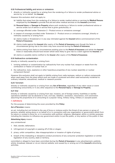## <span id="page-8-0"></span>6.18 Professional liability and errors or omissions

1. directly or indirectly caused by or arising from the rendering of or failure to render professional advice or service by 'or on behalf the **Insured**.

However this exclusion shall not apply to:

- (a) liability that arises from the rendering of or failure to render medical advice or services by **Medical Persons** employed by the **Insured** to provide first aid and other medical services on the **Insured's** premises;
- (b) **Personal Injury** or **Damage to Property** where such rendering or failure to render professional advice or service arises out of advice or service that is given gratuitously; or
- (c) coverage afforded under 'Extension 2 Product errors or omissions coverage'.
- 2. in respect of coverage provided under 'Extension 2 Product errors or omissions coverage', directly or indirectly caused by or arising from:
	- (a) claims made or threatened or in any way intimated against the **Insured** before commencement of the **Period of Insurance**;
	- (b) claims made against the **Insured** after expiry of the **Period of Insurance** even though the facts or circumstances giving rise to the claim may have occurred during the **Period of Insurance**;
	- (c) claims arising from facts or circumstances existing prior to the **Period of Insurance** and which the **Insured** knew or reasonably should have known which were likely to give rise to a claim against the **Insured**; or
	- (d) claims or possible claims notified to the **Insurer** after expiry of the **Period of Insurance**.

### 6.19 Radioactive contamination

directly or indirectly caused by or arising from:

- 1. ionising radiation or contamination by radioactivity from any nuclear fuel, weapon or waste from the combustion or fission of nuclear fuel; or
- 2. the radioactive, toxic, explosive or other hazardous properties of any nuclear assembly or nuclear component thereof.

However this exclusion shall not apply to liability arising from radio-isotopes, radium or radium compounds when used away from the place where such are made or produced and when used exclusively incidental to ordinary industrial, educational, medical or research pursuits.

## 6.20 Terrorism

directly or indirectly caused by or arising from any **Act of Terrorism**, regardless of any other cause or event contributing concurrently or in any other sequence to the **Personal Injury** or **Damage to Property**.

## 6.21 War

directly or indirectly caused by or arising from war, invasion, act of foreign enemy, hostilities or warlike operations (whether war be declared or not), civil war, rebellion, revolution, insurrection, civil commotion assuming the proportions of or amounting to a popular rising, military rising, military or usurped power.

## 7. Definitions

For the purpose of determining the cover provided by this **Policy**:

#### **Act of Terrorism** means:

an act, including but not limited to the use of force or violence and/or the threat of any person or group of persons, whether acting alone or on behalf of or in connection with any organisation or government which from its nature or context is done for, or in connection with political, religious, ideological, ethnic or similar purposes including the intention to influence any government and/or to put the public, or any section of the public in fear.

#### **Advertising Injury** means:

any unintentional:

- 1. libel, slander, defamation;
- 2. infringement of copyright or passing off of title or slogan;
- 3. piracy, unfair competition, idea misappropriation or invasion of rights of privacy;
- 4. breach of the misleading or deceptive conduct provisions of any consumer protection legislation or similar legislation of any country, state or territory,

committed or alleged to have been committed during the **Period of Insurance** in any advertisement, publicity article, broadcast, telecast or via an internet website, and caused by or arising out of the **Insured's** advertising activities.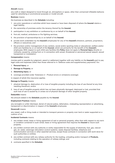## **Aircraft** means:

any craft or object designed to travel through air, atmosphere or space, other than unmanned inflatable balloons used for advertising or promotional purposes or model aircraft.

## **Business** means:

the business as described in the **Schedule** including:

- 1. any prior operations or activities which have ceased or have been disposed of where the **Insured** retains a legal liability;
- 2. the ownership of premises and/or the tenancy thereof by the **Insured**;
- 3. participation in any exhibition or conference by or on behalf of the **Insured**;
- 4. first aid, medical, ambulance or fire fighting services;
- 5. the provision of sponsorships by or on behalf of the **Insured**;
- 6. private work undertaken by the **Insured's** employees for any of the **Insured's** directors, partners, proprietors, officers or executives; and
- 7. the provision and/or management of any canteen, social and/or sporting clubs or educational, welfare and/or child care facilities by or on behalf of the **Insured**, which are primarily for the benefit of the **Insured's** employees. With respect to such child care facilities this **Policy** does not apply to **Personal Injury** directly or indirectly caused by, arising from or in connection with actual, threatened or perceived sexual assault, sexual harassment or molestation.

## **Compensation** means:

monies paid or payable by judgment, award or settlement together with any liability on the **Insured's** part to pay legal costs and expenses (other than those referred to in 'Defence costs and supplementary payments') for:

- 1. **Personal Injury**; or
- 2. **Damage to Property**; or
- 3. **Advertising Injury**; or
- 4. coverage provided under 'Extension 2 Product errors or omissions coverage',

in respect of which this insurance applies.

## **Damage to Property** means:

- 1. physical damage to, destruction of or loss of tangible property including the loss of use thereof at any time resulting therefrom; and/or
- 2. loss of use of tangible property which has not been physically damaged, destroyed or lost, provided that such loss of use is caused by or arises out of physical damage of other tangible property.

## **Deductible** means:

the amount stated in the **Schedule** payable by the **Insured**.

## **Employment Practices** means:

any wrongful or unfair dismissal, denial of natural justice, defamation, misleading representation or advertising, harassment or discrimination in respect of the **Insured's** employees.

## **Hovercraft** means:

any vessel, craft or thing made or intended to transport persons or property over land or water supported on a cushion of air.

## **Incidental Contracts** means:

- 1. any written rental, lease or hiring agreement of real or personal property, other than with respect to any term or condition contained in such rental, lease or hiring agreement that requires the **Insured** to insure such property;
- 2. any written contract with any authority or entity responsible for the supply of electricity, fuel, gas, natural gas, air, water, sewerage reticulation control systems, waste disposal facilities, telephone and communication services or other essential services, except those contracts in connection with work done for such authorities or entities;
- 3. any written contract with any railway authority for the loading, unloading and/or transport of **Products**, including contracts relating to the operation of railway sidings; and
- 4. contracts specified in the **Schedule**.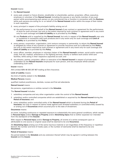### **Insured** means:

- 1. the **Named Insured**;
- 2. every past, present or future director, stockholder or shareholder, partner, proprietor, officer, executive, employee or volunteer of the **Named Insured**, including the spouse or any family member of any such person while accompanying such person on any commercial trip or function in connection with the **Business**, while such persons are acting for or on behalf of the **Named Insured** and/or within the scope of their duties in such capacities;
- 3. every principal in respect of the principal's liability arising out of:
	- (a) the performance by or on behalf of the **Named Insured** of any contract or agreement for the performance of work for such principal, but only to the extent required by such contract or agreement and in any event only for such coverage and **Limit of Liability** as is provided by this **Policy**;
	- (b) any **Products** sold or supplied by the **Named Insured**, but only in respect of the **Named Insured's** own acts or omissions in connection with such products and in any event only for such coverage and **Limit of Liability** as is provided by this **Policy**;
- 4. every person, corporation, organisation, joint venture company or partnership, to whom the **Named Insured** is obligated by virtue of any contract or agreement to provide insurance such as is afforded by this **Policy**; but only to the extent required by such contract or agreement and in any event only for such coverage and **Limit of Liability** as is provided by this **Policy**;
- 5. every officer, member, employee or voluntary helper of the **Named Insured's** canteen, social and/or sporting clubs, first aid, medical, ambulance or fire fighting services, charity or welfare work and/or child care facilities, while acting in their respective capacities as such; and
- 6. any director, partner, proprietor, officer or executive of the **Named Insured** in respect of private work undertaken by the **Named Insured's** employees for such person, and any employee whilst actually undertaking such work.

#### **Insurer** means:

AAI Limited ABN 48 005 297 807 trading as Vero Insurance.

## **Limit of Liability** means:

the limit of liability stated in the **Schedule**.

#### **Medical Persons** means:

qualified medical practitioners, dentists, nurses and first aid attendants.

#### **Named Insured** means:

the persons, organizations or entities named in the **Schedule**.

#### The **Named Insured** includes:

- 1. subsidiary companies and any other organisation under the control of the **Named Insured**;
- 2. subsidiary and/or controlled companies which are established or acquired by the **Named Insured** during the **Period of Insurance**; and
- 3. every subsidiary and/or controlled entity of the **Named Insured** which is divested during the **Period of Insurance**, but only in respect of claims made against such divested subsidiary or controlled entity caused by or arising out of **Occurrences** which occurred prior to the date of divestment.

#### **Occurrence** means:

an event, including continuous or repeated exposure to substantially the same general conditions, which results in **Personal Injury** and/or **Damage to Property** and/or **Advertising Injury** that is neither expected nor intended from the standpoint of the **Insured**.

With respect to **Personal Injury** and/or **Damage to Property**, all events of a series consequent upon or attributable to one source or original cause shall be deemed to be one **Occurrence**.

All **Advertising Injury** arising out of the same injurious material or act (regardless of the frequency or repetition thereof, the number and kind of media used, or the number of claimants) shall be deemed to be one **Occurrence**.

#### **Period of Insurance** means:

the period stated in the **Schedule** and any extension thereof which may be agreed in writing between the **Insured** and the **Insurer**.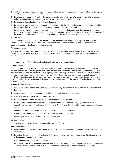## **Personal Injury** means:

- 1. bodily injury, death, sickness, disease, illness, disability, shock, fright, mental anguish and/or mental injury, including loss of consortium resulting therefrom;
- 2. the effects of false arrest, false imprisonment, wrongful detention, wrongful entry or wrongful eviction, malicious prosecution, invasion of the right to private occupation or humiliation;
- 3. the effects of libel, slander, defamation of character;
- 4. the effects of assault and battery not committed by or at the direction of the **Insured**, unless committed for the purpose of preventing or eliminating danger to persons or property; and
- 5. the effects of discrimination as a result of race, religion, sex, marital status, age, intellectual impairment, disability or otherwise (unless insurance thereof is prohibited by law) not committed by or at the direction of the **Insured**, but only with respect to liability other than fines and penalties imposed by law.

## **Policy** means:

the contract of insurance between the **Insurer** and the **Insured** which comprises this policy wording, the **Schedule** issued by the **Insurer** (including any **Schedule** replacement or renewal) and any endorsement or document issued by the **Insurer** varying coverage.

## **Pollutants** means:

any solid, liquid, gaseous or thermal irritant or contaminant including smoke, vapours, soot, fumes, acids, alkalis, chemicals and waste material, including materials that are intended to be recycled, reconditioned or reclaimed.

## **Premium** means:

the amount payable for this **Policy**. It includes all relevant government charges.

## **Products** means:

anything (after it has ceased to be in the possession or control of the **Insured**) manufactured, constructed, erected, assembled, installed, grown, extracted, produced or processed, treated, altered, modified, repaired, serviced, bottled, labelled, handled, sold, supplied, distributed, imported or exported, by or on behalf of the **Insured**, including any packaging or containers thereof, including the design, formula or specification, directions, markings, instructions, advice or warnings given or omitted to be given in connection with such products and anything which by law the **Insured** is deemed to have manufactured in the course of the **Business** including discontinued products.

## **Product Recall Expense** means:

the reasonable and necessary costs and expenses incurred by the **Insured** in relation to effecting the recall of a **Product** for:

- 1. communications to customers and the public, including media announcements;
- 2. external advice to prepare such communications;
- 3. transporting any recalled **Product** to a place designated by the **Insured**;
- 4. the hiring of necessary additional persons to conduct the duties performed by regular employees of the **Insured** who are involved in effecting the recall of a **Product**, and the hiring of necessary additional storage space;
- 5. additional remuneration paid to employees (other than salaried employees);
- 6. expenses incurred by employees for transport and accommodation; and
- 7. disposing of any recalled **Product** that cannot be reused.

## **Schedule** means:

the schedule issued by the **Insurer** in connection with this **Policy**.

## **Territorial Limits** means:

- 1. anywhere in the world except the United States of America, Canada and their respective protectorates and territories;
- 2. the United States of America, Canada and their respective protectorates and territories if the **Personal Injury** or **Damage to Property** arises from:
	- (a) **Products** exported into such countries;
	- (b) business visits of the **Insured's** directors, partners, officers, executives or employees, who are non-resident in the United States of America, Canada, other than where such persons perform manual work.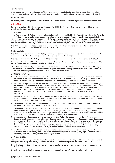## <span id="page-12-0"></span>**Vehicle** means:

any type of machine on wheels or on self-laid tracks made or intended to be propelled by other than manual or animal power, and any trailer or other attachment to be utilised in conjunction with or drawn by any such machine.

## **Watercraft** means:

any vessel, craft or thing made or intended to float on or in or travel on or through water other than model boats.

## 8. Conditions

To the extent allowed by the Insurance Contracts Act 1984, the following Conditions apply and in the event of breach the **Insurer** may refuse indemnity.

## 8.1 Adjustment

If the **Premium** for this **Policy** has been calculated on estimates provided by the **Named Insured** and the **Policy** is identified as subject to adjustment based on a minimum and/or deposit **Premium**, the **Named Insured** shall within a reasonable period after expiry of each **Period of Insurance** furnish to the **Insurer** such information as the **Insurer** may require for such expired period and the **Premium** for such period shall be adjusted by the **Insurer** and the difference be paid by or allowed to the **Named Insured** subject to any minimum **Premium** applicable.

The **Named Insured** shall keep an accurate record containing all particulars relative thereto and shall at all reasonable times allow the **Insurer** to inspect such record.

## 8.2 Cancellation

The **Named Insured** may cancel this **Policy** by giving notice in writing to the **Insurer**. If such notice is given, the cancellation will take effect on the day the notice is received by the **Insurer**.

The **Insurer** may cancel this **Policy** in any of the circumstances set out in the Insurance Contracts Act 1984.

A refund of **Premium** will be allowed pro rata of the **Premium** for the unexpired **Period of Insurance**, subject to any minimum and deposit **Premium** that may apply.

When the **Premium** is subject to adjustment, cancellation will not affect the obligation of the **Insured** to supply to the **Insurer** such information as is necessary to permit the **Premium** adjustment to be calculated and to pay the amount of the adjustment applicable up to the date of cancellation.

## 8.3 Claims conditions

- 1. In the event of an **Occurrence** or loss or if an **Occurrence** or loss appears reasonably likely to take place the **Insured** must as soon as reasonably practical take at its own expense all responsible steps to prevent or minimise **Personal Injury, Damage to Property, Advertising Injury** and/or any other loss or expense.
- 2. Subject to paragraph 3 below for claims made under 'Extension 2 Product errors or omissions coverage', the **Insured** must give notice in writing to the **Insurer** as soon as possible of every **Occurrence** or loss likely to give rise to a claim under this **Policy** and must as soon as reasonably practical forward to the **Insurer** all documents and information relevant to each such **Occurrence** or loss including but not limited to every demand, writ, summons, proceedings, notice of prosecution, inquest or inquiry and all associated information.
- 3. 'Extension 2 Product errors or omissions coverage' is issued on a 'claims made and notified' basis. In the event of a claim under this Extension, the notice of claims must comply with the 'Claims made and notified basis of coverage' notice attached to this **Policy**.
- 4. The **Insured** must not, without the **Insurer's** prior written consent, make any admission, offer, promise or payment in connection with any **Occurrence** or loss.
- 5. The **Insured** must use its best endeavours to preserve all property, any **Product**, appliance and plant and all other things which may assist in the investigation or defence of a claim or in the exercise of rights of subrogation and so far as may be reasonably practicable no alteration or repair is to be effected without the consent of the **Insurer** until the **Insurer** has had an opportunity of inspection.
- 6. In respect of any **Occurrence** or loss covered under this **Policy**, the **Insurer** has the right, if it so elects, to defend any suit against the **Insured** seeking **Compensation** or reimbursement of expenses for an **Occurrence** or loss and to bring any cross claim in the name of the **Insured** even if any of the allegations of the suit are groundless, false or fraudulent, and may make such investigation and settlement of any claim or suit as it deems expedient. However the **Insurer** is not obligated to pay any claim or judgment or to defend any suit after the **Insurer's** liability under this **Policy** in respect of the claim has been exhausted.
- 7. The **Insured** must use all reasonable endeavours to co-operate with the **Insurer** and comply with the terms and conditions of this **Policy**, and assist as as reasonably required in enforcing any right to contribution or indemnity from any person, corporation or organisation.

## 8.4 Cross liability

Each of the parties comprising the **Insured** is considered a separate legal entity and the word **Insured** applies to each party as if a separate policy had been issued to each of the said parties, provided always that:

- 1. each of such parties shall be separately subject to the terms, conditions, exclusions and definitions of this **Policy**; and
- 2. nothing contained in this clause will operate to increase the **Insurer's** liability under this **Policy**.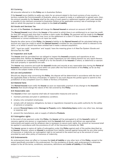## 8.5 Currency

All amounts referred to in this **Policy** are in Australian Dollars.

If the **Insured** incurs liability to settle any claim for an amount stated in the local currency of any country or territory outside the Commonwealth of Australia, where an award is made or a settlement is agreed upon, then, the amount payable by the **Insurer** shall be the value of such award or settlement together with costs awarded or payable to any claimant converted to Australian Dollars at the applicable currency rate of exchange on the date on which the payment is made, subject to the **Limit of Liability**.

#### 8.6 Goods and Services Tax

As part of the **Premium**, the **Insurer** will charge the **Named Insured** an amount on account of GST.

The **Named Insured** must inform the **Insurer** of the extent to which there is an entitlement to an input tax credit for that GST amount each time that it notifies a claim under this **Policy**. No payment will be made to the **Named Insured** for any GST liability that it may incur on the settlement of a claim if it does not inform the **Insurer** of its entitlement or correct entitlement to an input tax credit.

Despite the other terms of this **Policy**, the **Insurer's** liability to the **Named Insured** will be calculated taking into account any input tax credit to which the **Named Insured** is entitled for any acquisition which is relevant to the claim, or to which it would have been entitled had it made a relevant acquisition.

'GST', 'input tax credit', 'acquisition' and 'supply' have the meaning given in A New Tax System (Goods and Services Tax) Act 1999.

## 8.7 Inspection and Audit

The **Insurer** shall be permitted but not obliged to inspect the **Insured's** property and operations at any reasonable time. Neither the **Insurer's** right to make inspections nor the making thereof nor any report thereon shall constitute an undertaking, on behalf of or for the benefit of the **Insured** or others, to determine or warrant that such property or operations are safe.

The **Insurer** may examine and audit the **Insured's** books and records at any reasonable time during the **Period of Insurance** and extensions thereof and within six years after the final termination of this **Policy**, as far as they relate to the subject matter of this insurance.

## 8.8 Law and jurisdiction

Should any dispute arise concerning this **Policy**, the dispute will be determined in accordance with the law of the applicable State or Territory of Australia. In relation to any such dispute the parties agree to submit to the jurisdiction of any competent court in a State or Territory of Australia.

## 8.9 Material facts

The **Named Insured** must notify the **Insurer** as soon as reasonably practical of any change to the **Insured's Business** that would change the nature of the risk covered by this **Policy**.

## 8.10 Reasonable care

The **Insured** at their own expense shall take all reasonable measures and care to:

- 1. maintain premises and plant in satisfactory condition;
- 2. employ only competent employees;
- 3. comply with all statutory obligations, by-laws or regulations imposed by any public authority for the safety of persons or property;
- 4. prevent **Personal Injury** and/or **Damage to Property** and/or **Advertising Injury** and/or any other loss, damage or expense; and
- 5. prevent the manufacture, sale or supply of defective **Products**.

#### 8.11 Subrogation rights

In the event of any payment under this **Policy**, the **Insurer** will be subrogated to all the **Insured's** rights of recovery against any person or organisation and the **Insured** shall execute and deliver any appropriate instruments and papers and do whatever else is necessary to secure such rights. Any amount so recovered shall be applied in accordance with the provisions of s.67 of the Insurance Contracts Act 1984.

The **Insurer** agrees to waive all rights of subrogation under this **Policy** against each of the parties described as an **Insured**. However, where an **Insured** is protected from liability insured against hereunder by any other policy of insurance or indemnity our subrogation right is not waived to the extent and up to the amount of cover provided by such other policy of insurance or indemnity.

#### 8.12 Endorsements

An endorsement does not affect or increase the **Limit of Liability** or any other term of this **Policy**, except to the extent specifically provided in the endorsement. For the avoidance of doubt, each endorsement is otherwise subject to the all the terms, conditions, exclusions, definitions and **Limits of Liability** of this **Policy**.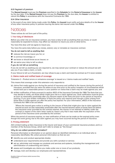## <span id="page-14-0"></span>8.13 Payment of premium

The **Named Insured** must pay the **Premium** specified in the **Schedule** for the **Period of Insurance** to the **Insurer** by the due date. If the **Named Insured** does not pay the **Premium** by the due date, the **Insurer** is entitled to cancel this **Policy** in accordance with the Insurance Contracts Act 1984.

## 8.14 Other insurance

In the event of any claim being made under this **Policy**, the **Insured** must notify and give details of to the **Insurer**  of any other insurance policy or policies insuring the same risk insured under this **Policy**.

## Notices

These notices do not form part of the policy.

## 1. Your duty of disclosure

Before you enter into an insurance contract, you have a duty to tell us anything that you know, or could reasonably be expected to know, may affect our decision to insure you and on what terms.

You have this duty until we agree to insure you.

You have the same duty before you renew, extend, vary or reinstate an insurance contract.

## **You do not need to tell us anything that:**

- $\blacktriangledown$  reduces the risk we insure you for; or
- ▼ is common knowledge; or
- ▼ we know or should know as an insurer; or
- $\blacktriangledown$  we waive your duty to tell us about.

## If you do not tell us something

If you do not tell us anything you are required to, we may cancel your contract or reduce the amount we will pay you if you make a claim, or both.

If your failure to tell us is fraudulent, we may refuse to pay a claim and treat the contract as if it never existed.

## 2. Claims made and notified basis of coverage

'Extension 2 – Product errors or omissions coverage' is issued on a 'claims made and notified' basis.

This means that coverage under this extension only responds to:

- (a) claims first made against you during the period of insurance and notified to the insurer during the period of insurance, provided that you were not aware at any time prior to the policy inception of circumstances which would have put a reasonable person in your position on notice that a claim may be made against you; and
- (b) written notification of facts pursuant to section 40(3) of the Insurance Contracts Act 1984. The facts that you may decide to notify, are those which might give rise to a claim against you. Such notification must be given as soon as reasonably practicable after you become aware of the facts and prior to the period of insurance expiring. If you give written notification of facts the policy will respond even though a claim arising from those facts is made against you after the policy has expired. For your information, s40(3) of the Insurance Contracts Act 1984 is set out below:

'Where the insured gave notice in writing to the insurer of facts that might give rise to claim against the insured as soon as was reasonably practicable after the insured became aware of those facts but before the insurance cover provided by the contract expired, the insurer is not relieved of liability under the contract in respect of the claim when made by reason only that it was made after the expiration of the period of the insurance cover provided by the contract.'

When the period of insurance expires, no new notification of facts can be made on the expired policy even though the event giving rise to the claim against you may have occurred during the period of insurance.

## 3. Privacy statement

AAI Limited trading as Vero Insurance is the insurer and issuer of your commercial insurance product, and is a member of the Suncorp Group, which we'll refer to simply as "the Group".

## Why do we collect personal information?

Personal information is information or an opinion about an identified individual or an individual who is reasonably identifiable. We collect personal information so that we can:

- $\blacktriangledown$  identify you and conduct appropriate checks;
- $\blacktriangledown$  understand your requirements and provide you with a product or service;
- $\blacktriangledown$  set up, administer and manage our products and services and systems, including the management and administration of underwriting and claims;
- $\blacktriangledown$  assess and investigate any claims you make under one or more of our products;
- ▼ manage, train and develop our employees and representatives;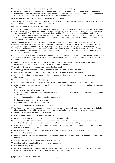- $\blacktriangledown$  manage complaints and disputes, and report to dispute resolution bodies; and
- W get a better understanding of you, your needs, your behaviours and how you interact with us, so we can engage in product and service research, development and business strategy including managing the delivery of our services and products via the ways we communicate with you.

## What happens if you don't give us your personal information?

If we ask for your personal information and you don't give it to us, we may not be able to provide you with any, some, or all of the features of our products or services.

## How we handle your personal information

We collect your personal information directly from you and, in some cases, from other people or organisations. We also provide your personal information to other related companies in the Group, and they may disclose or use your personal information for the purposes described in 'Why do we collect personal information?' in relation to products and services they may provide to you. They may also use your personal information to help them provide products and services to other customers, but they'll never disclose your personal information to another customer without your consent.

Under various laws we will be (or may be) authorised or required to collect your personal information. These laws include the Anti-Money Laundering and Counter-Terrorism Financing Act 2006, Personal Property Securities Act 2009, Corporations Act 2001, Autonomous Sanctions Act 2011, Income Tax Assessment Act 1997, Income Tax Assessment Act 1936, Tax Administration Act 1953, A New Tax System (Goods and Services Tax) Act 1999 and the Australian Securities and Investments Commission Act 2001, as those laws are amended and includes any associated regulations.

We will use and disclose your personal information for the purposes we collected it as well as purposes that are related, where you would reasonably expect us to. We may disclose your personal information to and/or collect your personal information from:

- $\blacktriangledown$  other companies within the Group and other trading divisions or departments within the same company (please see our Group Privacy Policy for a list of brands/companies);
- ▼ any of our Group joint ventures where authorised or required;
- ▼ customer, product, business or strategic research and development organisations;
- $\blacktriangledown$  data warehouse, strategic learning organisations, data partners, analytic consultants;
- W social media and other virtual communities and networks where people create, share or exchange information;
- ▼ publicly available sources of information;
- I clubs, associations, member loyalty or rewards programs and other industry relevant organisations;
- W a third party that we've contracted to provide financial services, financial products or administrative services – for example:
	- $\blacktriangledown$  information technology providers,
	- W administration or business management services, consultancy firms, auditors and business management consultants,
	- $\blacktriangledown$  marketing agencies and other marketing service providers,
	- $\blacktriangledown$  claims management service providers
	- $\nabla$  print/mail/digital service providers, and
	- $\blacktriangledown$  imaging and document management services:
- W any intermediaries, including your agent, adviser, a broker, representative or person acting on your behalf, other Australian Financial Services Licensee or our authorised representatives, advisers and our agents;
- $\blacktriangledown$  a third party claimant or witnesses in a claim;
- $\blacktriangledown$  accounting or finance professionals and advisers;
- ▼ government, statutory or regulatory bodies and enforcement bodies;
- $\blacktriangledown$  policy or product holders or others who are authorised or noted on the policy as having a legal interest, including where you are an insured person but not the policy or product holder;
- $\blacktriangledown$  in the case of a relationship with a corporate partner such as a bank or a credit union, the corporate partner and any new incoming insurer;
- ▼ the Australian Financial Complaints Authority or any other external dispute resolution body;
- $\blacktriangledown$  credit reporting agencies;
- W other insurers, reinsurers, insurance investigators and claims or insurance reference services, loss assessors, financiers;
- $\blacktriangledown$  legal and any other professional advisers or consultants;
- $\blacktriangledown$  hospitals and, medical, health or wellbeing professionals;
- $\blacktriangledown$  debt collection agencies;
- W any other organisation or person, where you've asked them to provide your personal information to us or asked us to obtain personal information from them, eg your mother.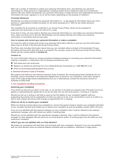We'll use a variety of methods to collect your personal information from, and disclose your personal information to, these persons or organisations, including written forms, telephone calls and via electronic delivery. We may collect and disclose your personal information to these persons and organisations during the information life cycle, regularly, or on an ad hoc basis, depending on the purpose of collection.

## Overseas disclosure

Sometimes, we need to provide your personal information to – or get personal information about you from – persons or organisations located overseas, for the same purposes as in 'Why do we collect personal information?'

The complete list of countries is contained in our Group Privacy Policy, which can be accessed at www.vero.com.au/privacy, or you can call us for a copy.

From time to time, we may need to disclose your personal information to, and collect your personal information from, other countries not on this list. Nevertheless, we will always disclose and collect your personal information in accordance with privacy laws.

## How to access and correct your personal information or make a complaint

You have the right to access and correct your personal information held by us and you can find information about how to do this in the Suncorp Group Privacy Policy.

The Policy also includes information about how you can complain about a breach of the Australian Privacy Principles and how we'll deal with such a complaint. You can get a copy of the Suncorp Group Privacy Policy. Please use the contact details in **Contact Us**.

#### Contact us

For more information about our privacy practices including accessing or correcting your personal information, making a complaint, or obtaining a list of overseas countries you can:

- ▼ Visit www.vero.com.au/privacy.
- ▼ Speak to us directly by phoning one of our Sales & Service Consultants on: 1300 888 073 or by
- $\blacktriangledown$  Email us at privacyaccessrequests@vero.com.au

## 4. General Insurance Code of Practice

We support and adhere to the General Insurance Code of Practice. By incorporating these standards into our business, we are committed to providing the highest level of service to our customers, every time. Access a copy of the Code at http://www.codeofpractice.com.au/ or alternatively, contact the Insurance Council of Australia on 9253 5100.

## 5. Our complaints handling procedures

#### Resolving your complaints

If you think we have let you down in any way, or our service is not what you expect (even if through one of our agents or representatives), please tell us so we can help. You can tell us by phone, in writing or in person.

Should you tell us in writing it will help to send us the full details of your complaint together with any supporting documents and an explanation of what you want us to do. If you would like to come in to talk to us face to face, please call and we will arrange an appointment for a meeting.

#### What we will do to resolve your complaint

When you first let us know about your complaint or concern the person trying to resolve your complaint will listen to you, consider the facts and contact you to resolve your complaint as soon as possible, usually within 24 hours.

If you are not satisfied with this person's decision on your complaint, then it will be referred to the relevant operational manager, who will contact you within 5 working days.

Should you not be satisfied with the operational manager's decision, then it will be referred to the general manager (or their delegate). We will send you our final decision within 15 working days from the date you first made your complaint.

#### What if you are not satisfied with our final decision?

We expect our procedures will deal fairly and promptly with your complaint. However if you are not satisfied with our final decision there are external dispute remedies such as mediation, arbitration or legal action.